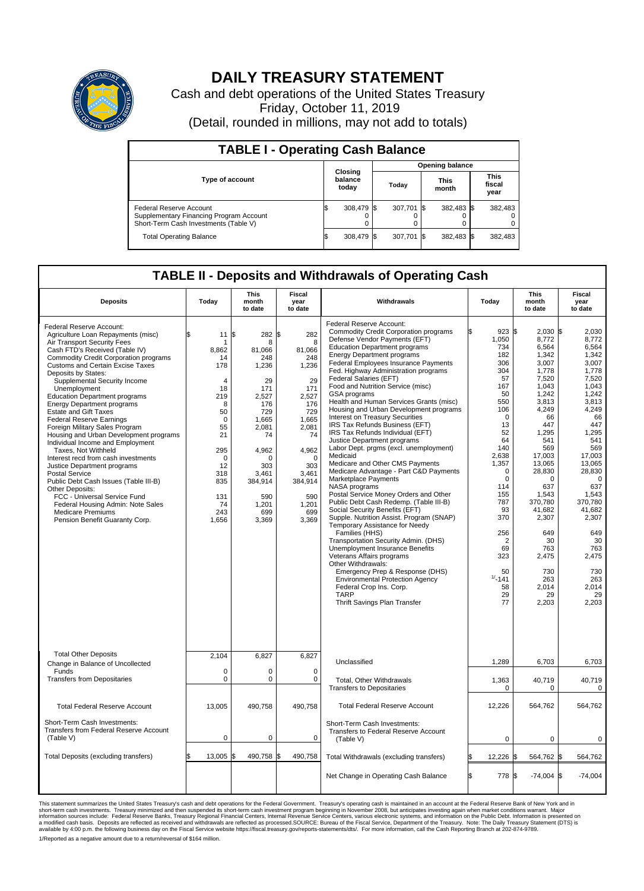

## **DAILY TREASURY STATEMENT**

Cash and debt operations of the United States Treasury Friday, October 11, 2019 (Detail, rounded in millions, may not add to totals)

| <b>TABLE I - Operating Cash Balance</b>                                                                     |                             |            |                        |            |                      |            |                               |         |  |  |
|-------------------------------------------------------------------------------------------------------------|-----------------------------|------------|------------------------|------------|----------------------|------------|-------------------------------|---------|--|--|
|                                                                                                             | Closing<br>balance<br>today |            | <b>Opening balance</b> |            |                      |            |                               |         |  |  |
| Type of account                                                                                             |                             |            | Today                  |            | <b>This</b><br>month |            | <b>This</b><br>fiscal<br>year |         |  |  |
| Federal Reserve Account<br>Supplementary Financing Program Account<br>Short-Term Cash Investments (Table V) |                             | 308,479 \$ |                        | 307.701 \$ |                      | 382,483 \$ |                               | 382,483 |  |  |
| <b>Total Operating Balance</b>                                                                              | ß.                          | 308,479 \$ |                        | 307,701 \$ |                      | 382,483 \$ |                               | 382,483 |  |  |

## **TABLE II - Deposits and Withdrawals of Operating Cash**

| <b>Deposits</b>                                                                                                                                                                                                                                                                                                                                                                                                                                                                                                                                                                                                                                                                                                                                                                                                                                                                        | Today                                                                                                                                                            | <b>This</b><br>month<br>to date                                                                                                                                                          | Fiscal<br>year<br>to date                                                                                                                                                      | Withdrawals                                                                                                                                                                                                                                                                                                                                                                                                                                                                                                                                                                                                                                                                                                                                                                                                                                                                                                                                                                                                                                                                                                                                                                                                                                                                            | Today                                                                                                                                                                                                                                                                  | <b>This</b><br>month<br>to date                                                                                                                                                                                                                                                                     | Fiscal<br>year<br>to date                                                                                                                                                                                                                                                                         |
|----------------------------------------------------------------------------------------------------------------------------------------------------------------------------------------------------------------------------------------------------------------------------------------------------------------------------------------------------------------------------------------------------------------------------------------------------------------------------------------------------------------------------------------------------------------------------------------------------------------------------------------------------------------------------------------------------------------------------------------------------------------------------------------------------------------------------------------------------------------------------------------|------------------------------------------------------------------------------------------------------------------------------------------------------------------|------------------------------------------------------------------------------------------------------------------------------------------------------------------------------------------|--------------------------------------------------------------------------------------------------------------------------------------------------------------------------------|----------------------------------------------------------------------------------------------------------------------------------------------------------------------------------------------------------------------------------------------------------------------------------------------------------------------------------------------------------------------------------------------------------------------------------------------------------------------------------------------------------------------------------------------------------------------------------------------------------------------------------------------------------------------------------------------------------------------------------------------------------------------------------------------------------------------------------------------------------------------------------------------------------------------------------------------------------------------------------------------------------------------------------------------------------------------------------------------------------------------------------------------------------------------------------------------------------------------------------------------------------------------------------------|------------------------------------------------------------------------------------------------------------------------------------------------------------------------------------------------------------------------------------------------------------------------|-----------------------------------------------------------------------------------------------------------------------------------------------------------------------------------------------------------------------------------------------------------------------------------------------------|---------------------------------------------------------------------------------------------------------------------------------------------------------------------------------------------------------------------------------------------------------------------------------------------------|
| Federal Reserve Account:<br>Agriculture Loan Repayments (misc)<br>Air Transport Security Fees<br>Cash FTD's Received (Table IV)<br><b>Commodity Credit Corporation programs</b><br><b>Customs and Certain Excise Taxes</b><br>Deposits by States:<br>Supplemental Security Income<br>Unemployment<br><b>Education Department programs</b><br><b>Energy Department programs</b><br><b>Estate and Gift Taxes</b><br><b>Federal Reserve Earnings</b><br>Foreign Military Sales Program<br>Housing and Urban Development programs<br>Individual Income and Employment<br>Taxes, Not Withheld<br>Interest recd from cash investments<br>Justice Department programs<br><b>Postal Service</b><br>Public Debt Cash Issues (Table III-B)<br>Other Deposits:<br>FCC - Universal Service Fund<br>Federal Housing Admin: Note Sales<br><b>Medicare Premiums</b><br>Pension Benefit Guaranty Corp. | 11<br>\$<br>8,862<br>14<br>178<br>$\overline{4}$<br>18<br>219<br>8<br>50<br>$\mathbf 0$<br>55<br>21<br>295<br>0<br>12<br>318<br>835<br>131<br>74<br>243<br>1,656 | 1\$<br>282 \$<br>8<br>81,066<br>248<br>1,236<br>29<br>171<br>2,527<br>176<br>729<br>1,665<br>2,081<br>74<br>4,962<br>$\Omega$<br>303<br>3.461<br>384,914<br>590<br>1,201<br>699<br>3,369 | 282<br>8<br>81,066<br>248<br>1,236<br>29<br>171<br>2,527<br>176<br>729<br>1,665<br>2,081<br>74<br>4,962<br>$\Omega$<br>303<br>3.461<br>384,914<br>590<br>1,201<br>699<br>3,369 | Federal Reserve Account:<br><b>Commodity Credit Corporation programs</b><br>Defense Vendor Payments (EFT)<br><b>Education Department programs</b><br><b>Energy Department programs</b><br><b>Federal Employees Insurance Payments</b><br>Fed. Highway Administration programs<br>Federal Salaries (EFT)<br>Food and Nutrition Service (misc)<br><b>GSA</b> programs<br>Health and Human Services Grants (misc)<br>Housing and Urban Development programs<br>Interest on Treasury Securities<br>IRS Tax Refunds Business (EFT)<br>IRS Tax Refunds Individual (EFT)<br>Justice Department programs<br>Labor Dept. prgms (excl. unemployment)<br>Medicaid<br>Medicare and Other CMS Payments<br>Medicare Advantage - Part C&D Payments<br>Marketplace Payments<br>NASA programs<br>Postal Service Money Orders and Other<br>Public Debt Cash Redemp. (Table III-B)<br>Social Security Benefits (EFT)<br>Supple. Nutrition Assist. Program (SNAP)<br>Temporary Assistance for Needy<br>Families (HHS)<br>Transportation Security Admin. (DHS)<br>Unemployment Insurance Benefits<br>Veterans Affairs programs<br>Other Withdrawals:<br>Emergency Prep & Response (DHS)<br><b>Environmental Protection Agency</b><br>Federal Crop Ins. Corp.<br><b>TARP</b><br>Thrift Savings Plan Transfer | 923S<br>1,050<br>734<br>182<br>306<br>304<br>57<br>167<br>50<br>550<br>106<br>$\mathbf 0$<br>13<br>52<br>64<br>140<br>2,638<br>1,357<br>0<br>$\mathbf 0$<br>114<br>155<br>787<br>93<br>370<br>256<br>$\overline{2}$<br>69<br>323<br>50<br>$1/ - 141$<br>58<br>29<br>77 | $2.030$ \$<br>8,772<br>6,564<br>1,342<br>3,007<br>1,778<br>7,520<br>1,043<br>1,242<br>3,813<br>4,249<br>66<br>447<br>1,295<br>541<br>569<br>17,003<br>13,065<br>28,830<br>$\Omega$<br>637<br>1,543<br>370,780<br>41,682<br>2,307<br>649<br>30<br>763<br>2,475<br>730<br>263<br>2,014<br>29<br>2,203 | 2.030<br>8,772<br>6,564<br>1,342<br>3,007<br>1.778<br>7,520<br>1.043<br>1.242<br>3,813<br>4,249<br>66<br>447<br>1,295<br>541<br>569<br>17,003<br>13,065<br>28,830<br>$\mathbf 0$<br>637<br>1,543<br>370.780<br>41.682<br>2,307<br>649<br>30<br>763<br>2,475<br>730<br>263<br>2,014<br>29<br>2,203 |
| <b>Total Other Deposits</b><br>Change in Balance of Uncollected                                                                                                                                                                                                                                                                                                                                                                                                                                                                                                                                                                                                                                                                                                                                                                                                                        | 2,104                                                                                                                                                            | 6,827                                                                                                                                                                                    | 6,827                                                                                                                                                                          | Unclassified                                                                                                                                                                                                                                                                                                                                                                                                                                                                                                                                                                                                                                                                                                                                                                                                                                                                                                                                                                                                                                                                                                                                                                                                                                                                           | 1,289                                                                                                                                                                                                                                                                  | 6,703                                                                                                                                                                                                                                                                                               | 6,703                                                                                                                                                                                                                                                                                             |
| Funds<br><b>Transfers from Depositaries</b>                                                                                                                                                                                                                                                                                                                                                                                                                                                                                                                                                                                                                                                                                                                                                                                                                                            | $\mathbf 0$<br>$\mathbf 0$                                                                                                                                       | $\mathbf 0$<br>0                                                                                                                                                                         | $\Omega$<br>$\mathbf 0$                                                                                                                                                        | Total, Other Withdrawals<br><b>Transfers to Depositaries</b>                                                                                                                                                                                                                                                                                                                                                                                                                                                                                                                                                                                                                                                                                                                                                                                                                                                                                                                                                                                                                                                                                                                                                                                                                           | 1,363<br>0                                                                                                                                                                                                                                                             | 40,719<br>0                                                                                                                                                                                                                                                                                         | 40,719<br>$\mathbf 0$                                                                                                                                                                                                                                                                             |
| <b>Total Federal Reserve Account</b>                                                                                                                                                                                                                                                                                                                                                                                                                                                                                                                                                                                                                                                                                                                                                                                                                                                   | 13,005                                                                                                                                                           | 490,758                                                                                                                                                                                  | 490,758                                                                                                                                                                        | <b>Total Federal Reserve Account</b>                                                                                                                                                                                                                                                                                                                                                                                                                                                                                                                                                                                                                                                                                                                                                                                                                                                                                                                                                                                                                                                                                                                                                                                                                                                   | 12,226                                                                                                                                                                                                                                                                 | 564,762                                                                                                                                                                                                                                                                                             | 564,762                                                                                                                                                                                                                                                                                           |
| Short-Term Cash Investments:<br>Transfers from Federal Reserve Account<br>(Table V)                                                                                                                                                                                                                                                                                                                                                                                                                                                                                                                                                                                                                                                                                                                                                                                                    | $\mathbf 0$                                                                                                                                                      | $\mathbf 0$                                                                                                                                                                              | 0                                                                                                                                                                              | Short-Term Cash Investments:<br>Transfers to Federal Reserve Account<br>(Table V)                                                                                                                                                                                                                                                                                                                                                                                                                                                                                                                                                                                                                                                                                                                                                                                                                                                                                                                                                                                                                                                                                                                                                                                                      | $\mathbf 0$                                                                                                                                                                                                                                                            | $\mathbf 0$                                                                                                                                                                                                                                                                                         | 0                                                                                                                                                                                                                                                                                                 |
| Total Deposits (excluding transfers)                                                                                                                                                                                                                                                                                                                                                                                                                                                                                                                                                                                                                                                                                                                                                                                                                                                   | 13,005                                                                                                                                                           | l\$<br>490,758 \$                                                                                                                                                                        | 490,758                                                                                                                                                                        | Total Withdrawals (excluding transfers)                                                                                                                                                                                                                                                                                                                                                                                                                                                                                                                                                                                                                                                                                                                                                                                                                                                                                                                                                                                                                                                                                                                                                                                                                                                | 12,226                                                                                                                                                                                                                                                                 | 564,762 \$<br>l\$                                                                                                                                                                                                                                                                                   | 564,762                                                                                                                                                                                                                                                                                           |
|                                                                                                                                                                                                                                                                                                                                                                                                                                                                                                                                                                                                                                                                                                                                                                                                                                                                                        |                                                                                                                                                                  |                                                                                                                                                                                          |                                                                                                                                                                                | Net Change in Operating Cash Balance                                                                                                                                                                                                                                                                                                                                                                                                                                                                                                                                                                                                                                                                                                                                                                                                                                                                                                                                                                                                                                                                                                                                                                                                                                                   | ß.<br>778 \$                                                                                                                                                                                                                                                           | $-74,004$ \$                                                                                                                                                                                                                                                                                        | $-74,004$                                                                                                                                                                                                                                                                                         |

This statement summarizes the United States Treasury's cash and debt operations for the Federal Government. Treasury operating in November 2008, but anticing ats investment summarket conditions warrant. Major short-term ca

1/Reported as a negative amount due to a return/reversal of \$164 million.